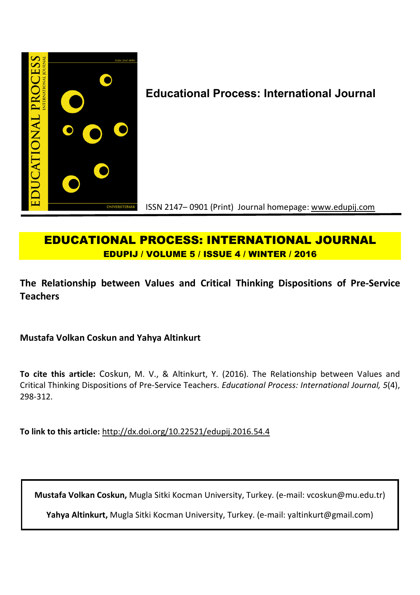

# **Educational Process: International Journal**

ISSN 2147– 0901 (Print) Journal homepage: www.edupij.com

# **EDUCATIONAL PROCESS: INTERNATIONAL JOURNAL EDUPIJ / VOLUME 5 / ISSUE 4 / WINTER / 2016**

**The Relationship between Values and Critical Thinking Dispositions of Pre-Service Teachers** 

**Mustafa Volkan Coskun and Yahya Altinkurt**

**To cite this article:** Coskun, M. V., & Altinkurt, Y. (2016). The Relationship between Values and Critical Thinking Dispositions of Pre-Service Teachers. *Educational Process: International Journal, 5*(4), 298-312.

**To link to this article:** http://dx.doi.org/10.22521/edupij.2016.54.4

**Mustafa Volkan Coskun,** Mugla Sitki Kocman University, Turkey. (e-mail: vcoskun@mu.edu.tr)

**Yahya Altinkurt,** Mugla Sitki Kocman University, Turkey. (e-mail: yaltinkurt@gmail.com)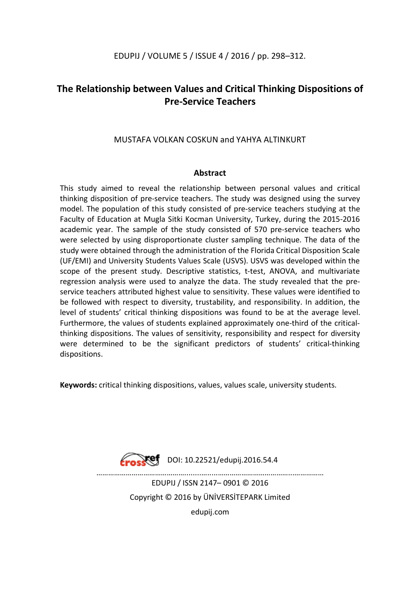# EDUPIJ / VOLUME 5 / ISSUE 4 / 2016 / pp. 298–312.

# **The Relationship between Values and Critical Thinking Dispositions of Pre-Service Teachers**

## MUSTAFA VOLKAN COSKUN and YAHYA ALTINKURT

### **Abstract**

This study aimed to reveal the relationship between personal values and critical thinking disposition of pre-service teachers. The study was designed using the survey model. The population of this study consisted of pre-service teachers studying at the Faculty of Education at Mugla Sitki Kocman University, Turkey, during the 2015-2016 academic year. The sample of the study consisted of 570 pre-service teachers who were selected by using disproportionate cluster sampling technique. The data of the study were obtained through the administration of the Florida Critical Disposition Scale (UF/EMI) and University Students Values Scale (USVS). USVS was developed within the scope of the present study. Descriptive statistics, t-test, ANOVA, and multivariate regression analysis were used to analyze the data. The study revealed that the preservice teachers attributed highest value to sensitivity. These values were identified to be followed with respect to diversity, trustability, and responsibility. In addition, the level of students' critical thinking dispositions was found to be at the average level. Furthermore, the values of students explained approximately one-third of the criticalthinking dispositions. The values of sensitivity, responsibility and respect for diversity were determined to be the significant predictors of students' critical-thinking dispositions.

**Keywords:** critical thinking dispositions, values, values scale, university students.



DOI: 10.22521/edupij.2016.54.4

………………………………………........….....………………………………...…………… EDUPIJ / ISSN 2147– 0901 © 2016 Copyright © 2016 by ÜNİVERSİTEPARK Limited

edupij.com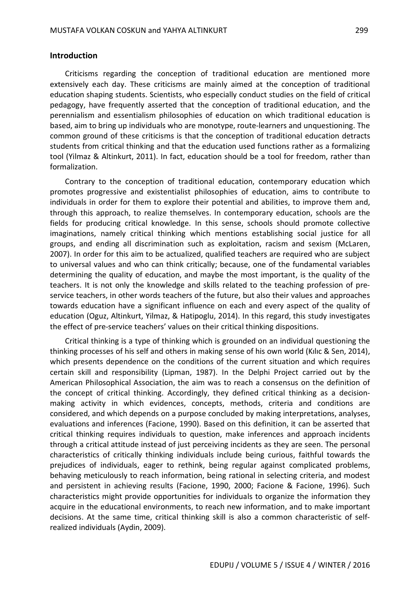#### **Introduction**

Criticisms regarding the conception of traditional education are mentioned more extensively each day. These criticisms are mainly aimed at the conception of traditional education shaping students. Scientists, who especially conduct studies on the field of critical pedagogy, have frequently asserted that the conception of traditional education, and the perennialism and essentialism philosophies of education on which traditional education is based, aim to bring up individuals who are monotype, route-learners and unquestioning. The common ground of these criticisms is that the conception of traditional education detracts students from critical thinking and that the education used functions rather as a formalizing tool (Yilmaz & Altinkurt, 2011). In fact, education should be a tool for freedom, rather than formalization.

Contrary to the conception of traditional education, contemporary education which promotes progressive and existentialist philosophies of education, aims to contribute to individuals in order for them to explore their potential and abilities, to improve them and, through this approach, to realize themselves. In contemporary education, schools are the fields for producing critical knowledge. In this sense, schools should promote collective imaginations, namely critical thinking which mentions establishing social justice for all groups, and ending all discrimination such as exploitation, racism and sexism (McLaren, 2007). In order for this aim to be actualized, qualified teachers are required who are subject to universal values and who can think critically; because, one of the fundamental variables determining the quality of education, and maybe the most important, is the quality of the teachers. It is not only the knowledge and skills related to the teaching profession of preservice teachers, in other words teachers of the future, but also their values and approaches towards education have a significant influence on each and every aspect of the quality of education (Oguz, Altinkurt, Yilmaz, & Hatipoglu, 2014). In this regard, this study investigates the effect of pre-service teachers' values on their critical thinking dispositions.

Critical thinking is a type of thinking which is grounded on an individual questioning the thinking processes of his self and others in making sense of his own world (Kılıc & Sen, 2014), which presents dependence on the conditions of the current situation and which requires certain skill and responsibility (Lipman, 1987). In the Delphi Project carried out by the American Philosophical Association, the aim was to reach a consensus on the definition of the concept of critical thinking. Accordingly, they defined critical thinking as a decisionmaking activity in which evidences, concepts, methods, criteria and conditions are considered, and which depends on a purpose concluded by making interpretations, analyses, evaluations and inferences (Facione, 1990). Based on this definition, it can be asserted that critical thinking requires individuals to question, make inferences and approach incidents through a critical attitude instead of just perceiving incidents as they are seen. The personal characteristics of critically thinking individuals include being curious, faithful towards the prejudices of individuals, eager to rethink, being regular against complicated problems, behaving meticulously to reach information, being rational in selecting criteria, and modest and persistent in achieving results (Facione, 1990, 2000; Facione & Facione, 1996). Such characteristics might provide opportunities for individuals to organize the information they acquire in the educational environments, to reach new information, and to make important decisions. At the same time, critical thinking skill is also a common characteristic of selfrealized individuals (Aydin, 2009).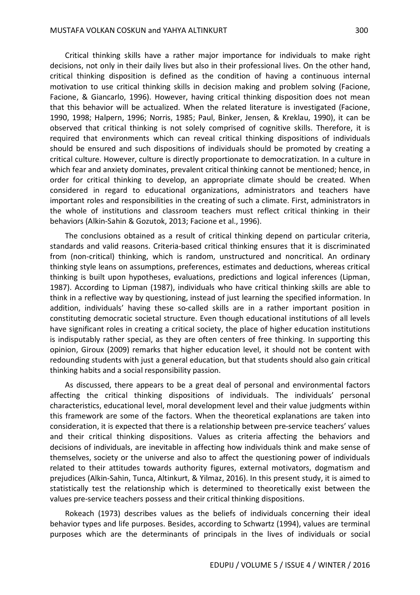Critical thinking skills have a rather major importance for individuals to make right decisions, not only in their daily lives but also in their professional lives. On the other hand, critical thinking disposition is defined as the condition of having a continuous internal motivation to use critical thinking skills in decision making and problem solving (Facione, Facione, & Giancarlo, 1996). However, having critical thinking disposition does not mean that this behavior will be actualized. When the related literature is investigated (Facione, 1990, 1998; Halpern, 1996; Norris, 1985; Paul, Binker, Jensen, & Kreklau, 1990), it can be observed that critical thinking is not solely comprised of cognitive skills. Therefore, it is required that environments which can reveal critical thinking dispositions of individuals should be ensured and such dispositions of individuals should be promoted by creating a critical culture. However, culture is directly proportionate to democratization. In a culture in which fear and anxiety dominates, prevalent critical thinking cannot be mentioned; hence, in order for critical thinking to develop, an appropriate climate should be created. When considered in regard to educational organizations, administrators and teachers have important roles and responsibilities in the creating of such a climate. First, administrators in the whole of institutions and classroom teachers must reflect critical thinking in their behaviors (Alkin-Sahin & Gozutok, 2013; Facione et al., 1996).

The conclusions obtained as a result of critical thinking depend on particular criteria, standards and valid reasons. Criteria-based critical thinking ensures that it is discriminated from (non-critical) thinking, which is random, unstructured and noncritical. An ordinary thinking style leans on assumptions, preferences, estimates and deductions, whereas critical thinking is built upon hypotheses, evaluations, predictions and logical inferences (Lipman, 1987). According to Lipman (1987), individuals who have critical thinking skills are able to think in a reflective way by questioning, instead of just learning the specified information. In addition, individuals' having these so-called skills are in a rather important position in constituting democratic societal structure. Even though educational institutions of all levels have significant roles in creating a critical society, the place of higher education institutions is indisputably rather special, as they are often centers of free thinking. In supporting this opinion, Giroux (2009) remarks that higher education level, it should not be content with redounding students with just a general education, but that students should also gain critical thinking habits and a social responsibility passion.

As discussed, there appears to be a great deal of personal and environmental factors affecting the critical thinking dispositions of individuals. The individuals' personal characteristics, educational level, moral development level and their value judgments within this framework are some of the factors. When the theoretical explanations are taken into consideration, it is expected that there is a relationship between pre-service teachers' values and their critical thinking dispositions. Values as criteria affecting the behaviors and decisions of individuals, are inevitable in affecting how individuals think and make sense of themselves, society or the universe and also to affect the questioning power of individuals related to their attitudes towards authority figures, external motivators, dogmatism and prejudices (Alkin-Sahin, Tunca, Altinkurt, & Yilmaz, 2016). In this present study, it is aimed to statistically test the relationship which is determined to theoretically exist between the values pre-service teachers possess and their critical thinking dispositions.

Rokeach (1973) describes values as the beliefs of individuals concerning their ideal behavior types and life purposes. Besides, according to Schwartz (1994), values are terminal purposes which are the determinants of principals in the lives of individuals or social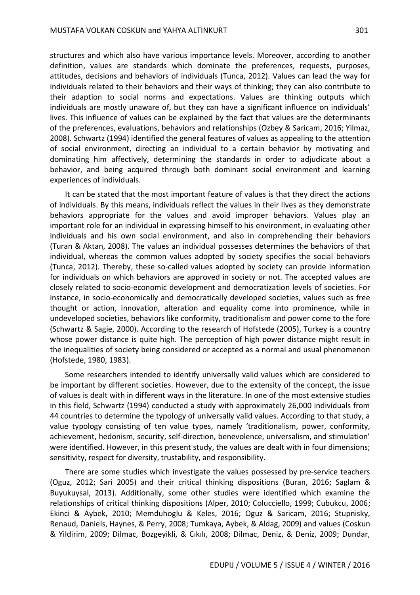structures and which also have various importance levels. Moreover, according to another definition, values are standards which dominate the preferences, requests, purposes, attitudes, decisions and behaviors of individuals (Tunca, 2012). Values can lead the way for individuals related to their behaviors and their ways of thinking; they can also contribute to their adaption to social norms and expectations. Values are thinking outputs which individuals are mostly unaware of, but they can have a significant influence on individuals' lives. This influence of values can be explained by the fact that values are the determinants of the preferences, evaluations, behaviors and relationships (Ozbey & Saricam, 2016; Yilmaz, 2008). Schwartz (1994) identified the general features of values as appealing to the attention of social environment, directing an individual to a certain behavior by motivating and dominating him affectively, determining the standards in order to adjudicate about a behavior, and being acquired through both dominant social environment and learning experiences of individuals.

It can be stated that the most important feature of values is that they direct the actions of individuals. By this means, individuals reflect the values in their lives as they demonstrate behaviors appropriate for the values and avoid improper behaviors. Values play an important role for an individual in expressing himself to his environment, in evaluating other individuals and his own social environment, and also in comprehending their behaviors (Turan & Aktan, 2008). The values an individual possesses determines the behaviors of that individual, whereas the common values adopted by society specifies the social behaviors (Tunca, 2012). Thereby, these so-called values adopted by society can provide information for individuals on which behaviors are approved in society or not. The accepted values are closely related to socio-economic development and democratization levels of societies. For instance, in socio-economically and democratically developed societies, values such as free thought or action, innovation, alteration and equality come into prominence, while in undeveloped societies, behaviors like conformity, traditionalism and power come to the fore (Schwartz & Sagie, 2000). According to the research of Hofstede (2005), Turkey is a country whose power distance is quite high. The perception of high power distance might result in the inequalities of society being considered or accepted as a normal and usual phenomenon (Hofstede, 1980, 1983).

Some researchers intended to identify universally valid values which are considered to be important by different societies. However, due to the extensity of the concept, the issue of values is dealt with in different ways in the literature. In one of the most extensive studies in this field, Schwartz (1994) conducted a study with approximately 26,000 individuals from 44 countries to determine the typology of universally valid values. According to that study, a value typology consisting of ten value types, namely 'traditionalism, power, conformity, achievement, hedonism, security, self-direction, benevolence, universalism, and stimulation' were identified. However, in this present study, the values are dealt with in four dimensions; sensitivity, respect for diversity, trustability, and responsibility.

There are some studies which investigate the values possessed by pre-service teachers (Oguz, 2012; Sari 2005) and their critical thinking dispositions (Buran, 2016; Saglam & Buyukuysal, 2013). Additionally, some other studies were identified which examine the relationships of critical thinking dispositions (Alper, 2010; Colucciello, 1999; Cubukcu, 2006; Ekinci & Aybek, 2010; Memduhoglu & Keles, 2016; Oguz & Saricam, 2016; Stupnisky, Renaud, Daniels, Haynes, & Perry, 2008; Tumkaya, Aybek, & Aldag, 2009) and values (Coskun & Yildirim, 2009; Dilmac, Bozgeyikli, & Cıkılı, 2008; Dilmac, Deniz, & Deniz, 2009; Dundar,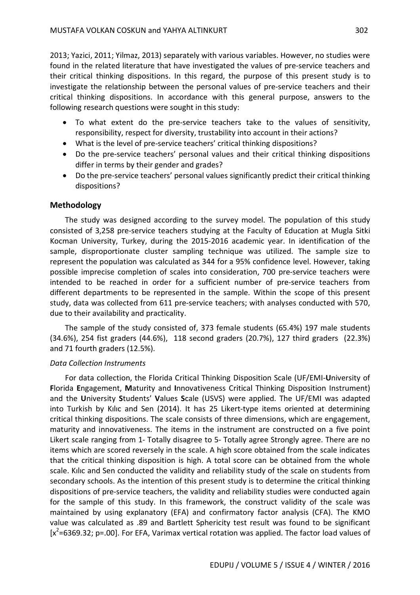2013; Yazici, 2011; Yilmaz, 2013) separately with various variables. However, no studies were found in the related literature that have investigated the values of pre-service teachers and their critical thinking dispositions. In this regard, the purpose of this present study is to investigate the relationship between the personal values of pre-service teachers and their critical thinking dispositions. In accordance with this general purpose, answers to the following research questions were sought in this study:

- To what extent do the pre-service teachers take to the values of sensitivity, responsibility, respect for diversity, trustability into account in their actions?
- What is the level of pre-service teachers' critical thinking dispositions?
- Do the pre-service teachers' personal values and their critical thinking dispositions differ in terms by their gender and grades?
- Do the pre-service teachers' personal values significantly predict their critical thinking dispositions?

### **Methodology**

The study was designed according to the survey model. The population of this study consisted of 3,258 pre-service teachers studying at the Faculty of Education at Mugla Sitki Kocman University, Turkey, during the 2015-2016 academic year. In identification of the sample, disproportionate cluster sampling technique was utilized. The sample size to represent the population was calculated as 344 for a 95% confidence level. However, taking possible imprecise completion of scales into consideration, 700 pre-service teachers were intended to be reached in order for a sufficient number of pre-service teachers from different departments to be represented in the sample. Within the scope of this present study, data was collected from 611 pre-service teachers; with analyses conducted with 570, due to their availability and practicality.

The sample of the study consisted of, 373 female students (65.4%) 197 male students (34.6%), 254 fist graders (44.6%), 118 second graders (20.7%), 127 third graders (22.3%) and 71 fourth graders (12.5%).

### *Data Collection Instruments*

For data collection, the Florida Critical Thinking Disposition Scale (UF/EMI-**U**niversity of **F**lorida **E**ngagement, **M**aturity and **I**nnovativeness Critical Thinking Disposition Instrument) and the **U**niversity **S**tudents' **V**alues **S**cale (USVS) were applied. The UF/EMI was adapted into Turkish by Kılıc and Sen (2014). It has 25 Likert-type items oriented at determining critical thinking dispositions. The scale consists of three dimensions, which are engagement, maturity and innovativeness. The items in the instrument are constructed on a five point Likert scale ranging from 1- Totally disagree to 5- Totally agree Strongly agree. There are no items which are scored reversely in the scale. A high score obtained from the scale indicates that the critical thinking disposition is high. A total score can be obtained from the whole scale. Kılıc and Sen conducted the validity and reliability study of the scale on students from secondary schools. As the intention of this present study is to determine the critical thinking dispositions of pre-service teachers, the validity and reliability studies were conducted again for the sample of this study. In this framework, the construct validity of the scale was maintained by using explanatory (EFA) and confirmatory factor analysis (CFA). The KMO value was calculated as .89 and Bartlett Sphericity test result was found to be significant  $[x^2=6369.32; p=.00]$ . For EFA, Varimax vertical rotation was applied. The factor load values of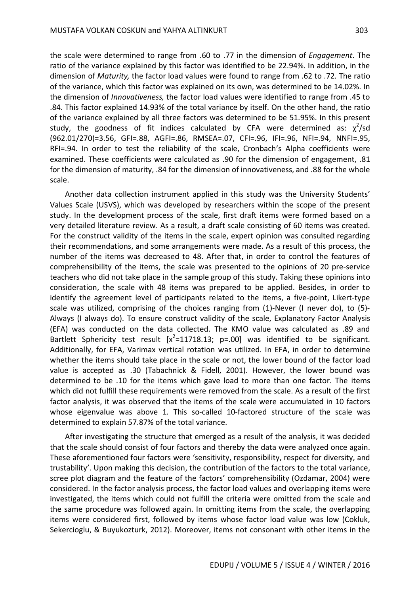the scale were determined to range from .60 to .77 in the dimension of *Engagement*. The ratio of the variance explained by this factor was identified to be 22.94%. In addition, in the dimension of *Maturity,* the factor load values were found to range from .62 to .72. The ratio of the variance, which this factor was explained on its own, was determined to be 14.02%. In the dimension of *Innovativeness,* the factor load values were identified to range from .45 to .84. This factor explained 14.93% of the total variance by itself. On the other hand, the ratio of the variance explained by all three factors was determined to be 51.95%. In this present study, the goodness of fit indices calculated by CFA were determined as:  $\chi^2$ /sd (962.01/270)=3.56, GFI=.88, AGFI=.86, RMSEA=.07, CFI=.96, IFI=.96, NFI=.94, NNFI=.95, RFI=.94. In order to test the reliability of the scale, Cronbach's Alpha coefficients were examined. These coefficients were calculated as .90 for the dimension of engagement, .81 for the dimension of maturity, .84 for the dimension of innovativeness, and .88 for the whole scale.

Another data collection instrument applied in this study was the University Students' Values Scale (USVS), which was developed by researchers within the scope of the present study. In the development process of the scale, first draft items were formed based on a very detailed literature review. As a result, a draft scale consisting of 60 items was created. For the construct validity of the items in the scale, expert opinion was consulted regarding their recommendations, and some arrangements were made. As a result of this process, the number of the items was decreased to 48. After that, in order to control the features of comprehensibility of the items, the scale was presented to the opinions of 20 pre-service teachers who did not take place in the sample group of this study. Taking these opinions into consideration, the scale with 48 items was prepared to be applied. Besides, in order to identify the agreement level of participants related to the items, a five-point, Likert-type scale was utilized, comprising of the choices ranging from (1)-Never (I never do), to (5)- Always (I always do). To ensure construct validity of the scale, Explanatory Factor Analysis (EFA) was conducted on the data collected. The KMO value was calculated as .89 and Bartlett Sphericity test result  $[x^2=11718.13; p=.00]$  was identified to be significant. Additionally, for EFA, Varimax vertical rotation was utilized. In EFA, in order to determine whether the items should take place in the scale or not, the lower bound of the factor load value is accepted as .30 (Tabachnick & Fidell, 2001). However, the lower bound was determined to be .10 for the items which gave load to more than one factor. The items which did not fulfill these requirements were removed from the scale. As a result of the first factor analysis, it was observed that the items of the scale were accumulated in 10 factors whose eigenvalue was above 1. This so-called 10-factored structure of the scale was determined to explain 57.87% of the total variance.

After investigating the structure that emerged as a result of the analysis, it was decided that the scale should consist of four factors and thereby the data were analyzed once again. These aforementioned four factors were 'sensitivity, responsibility, respect for diversity, and trustability'. Upon making this decision, the contribution of the factors to the total variance, scree plot diagram and the feature of the factors' comprehensibility (Ozdamar, 2004) were considered. In the factor analysis process, the factor load values and overlapping items were investigated, the items which could not fulfill the criteria were omitted from the scale and the same procedure was followed again. In omitting items from the scale, the overlapping items were considered first, followed by items whose factor load value was low (Cokluk, Sekercioglu, & Buyukozturk, 2012). Moreover, items not consonant with other items in the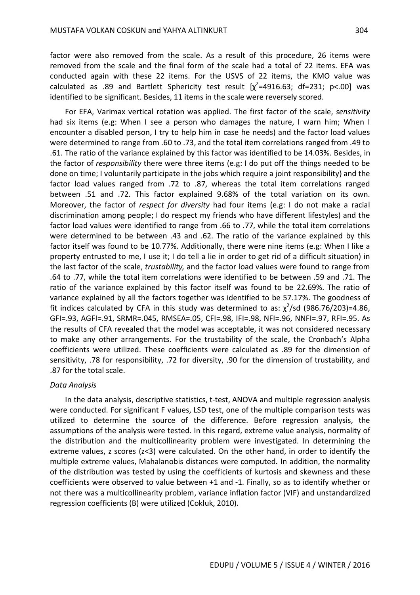factor were also removed from the scale. As a result of this procedure, 26 items were removed from the scale and the final form of the scale had a total of 22 items. EFA was conducted again with these 22 items. For the USVS of 22 items, the KMO value was calculated as .89 and Bartlett Sphericity test result  $[\chi^2=4916.63; df=231; p<.00]$  was identified to be significant. Besides, 11 items in the scale were reversely scored.

For EFA, Varimax vertical rotation was applied. The first factor of the scale, *sensitivity* had six items (e.g: When I see a person who damages the nature, I warn him; When I encounter a disabled person, I try to help him in case he needs) and the factor load values were determined to range from .60 to .73, and the total item correlations ranged from .49 to .61. The ratio of the variance explained by this factor was identified to be 14.03%. Besides, in the factor of *responsibility* there were three items (e.g: I do put off the things needed to be done on time; I voluntarily participate in the jobs which require a joint responsibility) and the factor load values ranged from .72 to .87, whereas the total item correlations ranged between .51 and .72. This factor explained 9.68% of the total variation on its own. Moreover, the factor of *respect for diversity* had four items (e.g: I do not make a racial discrimination among people; I do respect my friends who have different lifestyles) and the factor load values were identified to range from .66 to .77, while the total item correlations were determined to be between .43 and .62. The ratio of the variance explained by this factor itself was found to be 10.77%. Additionally, there were nine items (e.g: When I like a property entrusted to me, I use it; I do tell a lie in order to get rid of a difficult situation) in the last factor of the scale, *trustability,* and the factor load values were found to range from .64 to .77, while the total item correlations were identified to be between .59 and .71. The ratio of the variance explained by this factor itself was found to be 22.69%. The ratio of variance explained by all the factors together was identified to be 57.17%. The goodness of fit indices calculated by CFA in this study was determined to as:  $\chi^2$ /sd (986.76/203)=4.86, GFI=.93, AGFI=.91, SRMR=.045, RMSEA=.05, CFI=.98, IFI=.98, NFI=.96, NNFI=.97, RFI=.95. As the results of CFA revealed that the model was acceptable, it was not considered necessary to make any other arrangements. For the trustability of the scale, the Cronbach's Alpha coefficients were utilized. These coefficients were calculated as .89 for the dimension of sensitivity, .78 for responsibility, .72 for diversity, .90 for the dimension of trustability, and .87 for the total scale.

#### *Data Analysis*

In the data analysis, descriptive statistics, t-test, ANOVA and multiple regression analysis were conducted. For significant F values, LSD test, one of the multiple comparison tests was utilized to determine the source of the difference. Before regression analysis, the assumptions of the analysis were tested. In this regard, extreme value analysis, normality of the distribution and the multicollinearity problem were investigated. In determining the extreme values, z scores (z<3) were calculated. On the other hand, in order to identify the multiple extreme values, Mahalanobis distances were computed. In addition, the normality of the distribution was tested by using the coefficients of kurtosis and skewness and these coefficients were observed to value between +1 and -1. Finally, so as to identify whether or not there was a multicollinearity problem, variance inflation factor (VIF) and unstandardized regression coefficients (B) were utilized (Cokluk, 2010).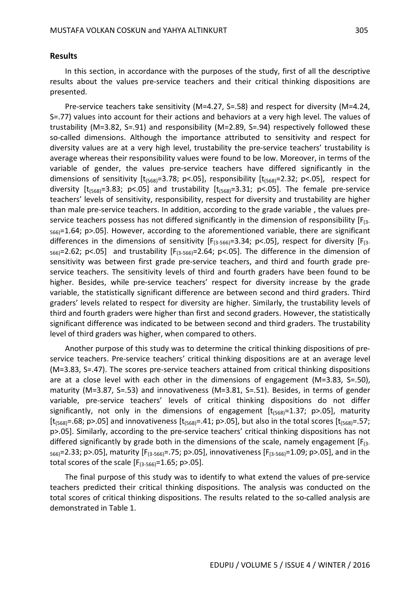#### **Results**

In this section, in accordance with the purposes of the study, first of all the descriptive results about the values pre-service teachers and their critical thinking dispositions are presented.

Pre-service teachers take sensitivity (M=4.27, S=.58) and respect for diversity (M=4.24, S=.77) values into account for their actions and behaviors at a very high level. The values of trustability (M=3.82, S=.91) and responsibility (M=2.89, S=.94) respectively followed these so-called dimensions. Although the importance attributed to sensitivity and respect for diversity values are at a very high level, trustability the pre-service teachers' trustability is average whereas their responsibility values were found to be low. Moreover, in terms of the variable of gender, the values pre-service teachers have differed significantly in the dimensions of sensitivity  $[t_{(568)}=3.78; p<.05]$ , responsibility  $[t_{(568)}=2.32; p<.05]$ , respect for diversity  $[t_{(568)}=3.83; p<0.05]$  and trustability  $[t_{(568)}=3.31; p<0.05]$ . The female pre-service teachers' levels of sensitivity, responsibility, respect for diversity and trustability are higher than male pre-service teachers. In addition, according to the grade variable , the values preservice teachers possess has not differed significantly in the dimension of responsibility  $[F_{(3-})]$  $_{566}$ =1.64; p>.05]. However, according to the aforementioned variable, there are significant differences in the dimensions of sensitivity  $[F_{(3-566)}=3.34; p<.05]$ , respect for diversity  $[F_{(3-566)}=3.34; p<.05]$  $_{566}$ =2.62; p<.05] and trustability [ $F_{(3-566)}$ =2.64; p<.05]. The difference in the dimension of sensitivity was between first grade pre-service teachers, and third and fourth grade preservice teachers. The sensitivity levels of third and fourth graders have been found to be higher. Besides, while pre-service teachers' respect for diversity increase by the grade variable, the statistically significant difference are between second and third graders. Third graders' levels related to respect for diversity are higher. Similarly, the trustability levels of third and fourth graders were higher than first and second graders. However, the statistically significant difference was indicated to be between second and third graders. The trustability level of third graders was higher, when compared to others.

Another purpose of this study was to determine the critical thinking dispositions of preservice teachers. Pre-service teachers' critical thinking dispositions are at an average level (M=3.83, S=.47). The scores pre-service teachers attained from critical thinking dispositions are at a close level with each other in the dimensions of engagement (M=3.83, S=.50), maturity (M=3.87, S=.53) and innovativeness (M=3.81, S=.51). Besides, in terms of gender variable, pre-service teachers' levels of critical thinking dispositions do not differ significantly, not only in the dimensions of engagement  $[t<sub>1568</sub>]=1.37$ ; p>.05], maturity [ $t_{(568)}$ =.68; p>.05] and innovativeness [ $t_{(568)}$ =.41; p>.05], but also in the total scores [ $t_{(568)}$ =.57; p>.05]. Similarly, according to the pre-service teachers' critical thinking dispositions has not differed significantly by grade both in the dimensions of the scale, namely engagement  $[F_{(3-})]$  $_{566}$ =2.33; p>.05], maturity [F<sub>(3-566)</sub>=.75; p>.05], innovativeness [F<sub>(3-566)</sub>=1.09; p>.05], and in the total scores of the scale  $[F_{(3-566)}=1.65; p>0.05]$ .

The final purpose of this study was to identify to what extend the values of pre-service teachers predicted their critical thinking dispositions. The analysis was conducted on the total scores of critical thinking dispositions. The results related to the so-called analysis are demonstrated in Table 1.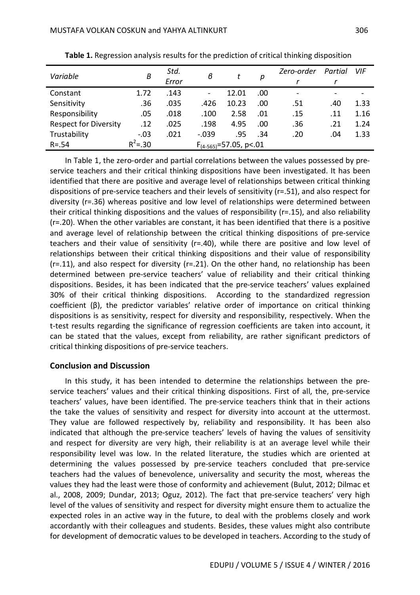| Variable                     | B           | Std.<br>Error                 | в       |       | р    | Zero-order               | Partial | VIF  |
|------------------------------|-------------|-------------------------------|---------|-------|------|--------------------------|---------|------|
| Constant                     | 1.72        | .143                          |         | 12.01 | .00. | $\overline{\phantom{a}}$ |         |      |
| Sensitivity                  | .36         | .035                          | .426    | 10.23 | .00  | .51                      | .40     | 1.33 |
| Responsibility               | .05         | .018                          | .100    | 2.58  | .01  | .15                      | .11     | 1.16 |
| <b>Respect for Diversity</b> | .12         | .025                          | .198    | 4.95  | .00  | .36                      | .21     | 1.24 |
| Trustability                 | $-.03$      | .021                          | $-.039$ | .95   | .34  | .20                      | .04     | 1.33 |
| $R = .54$                    | $R^2 = .30$ | $F_{(4-565)} = 57.05$ , p<.01 |         |       |      |                          |         |      |

**Table 1.** Regression analysis results for the prediction of critical thinking disposition

In Table 1, the zero-order and partial correlations between the values possessed by preservice teachers and their critical thinking dispositions have been investigated. It has been identified that there are positive and average level of relationships between critical thinking dispositions of pre-service teachers and their levels of sensitivity (r=.51), and also respect for diversity (r=.36) whereas positive and low level of relationships were determined between their critical thinking dispositions and the values of responsibility (r=.15), and also reliability (r=.20). When the other variables are constant, it has been identified that there is a positive and average level of relationship between the critical thinking dispositions of pre-service teachers and their value of sensitivity (r=.40), while there are positive and low level of relationships between their critical thinking dispositions and their value of responsibility  $(r=.11)$ , and also respect for diversity  $(r=.21)$ . On the other hand, no relationship has been determined between pre-service teachers' value of reliability and their critical thinking dispositions. Besides, it has been indicated that the pre-service teachers' values explained 30% of their critical thinking dispositions. According to the standardized regression coefficient (β), the predictor variables' relative order of importance on critical thinking dispositions is as sensitivity, respect for diversity and responsibility, respectively. When the t-test results regarding the significance of regression coefficients are taken into account, it can be stated that the values, except from reliability, are rather significant predictors of critical thinking dispositions of pre-service teachers.

#### **Conclusion and Discussion**

In this study, it has been intended to determine the relationships between the preservice teachers' values and their critical thinking dispositions. First of all, the, pre-service teachers' values, have been identified. The pre-service teachers think that in their actions the take the values of sensitivity and respect for diversity into account at the uttermost. They value are followed respectively by, reliability and responsibility. It has been also indicated that although the pre-service teachers' levels of having the values of sensitivity and respect for diversity are very high, their reliability is at an average level while their responsibility level was low. In the related literature, the studies which are oriented at determining the values possessed by pre-service teachers concluded that pre-service teachers had the values of benevolence, universality and security the most, whereas the values they had the least were those of conformity and achievement (Bulut, 2012; Dilmac et al., 2008, 2009; Dundar, 2013; Oguz, 2012). The fact that pre-service teachers' very high level of the values of sensitivity and respect for diversity might ensure them to actualize the expected roles in an active way in the future, to deal with the problems closely and work accordantly with their colleagues and students. Besides, these values might also contribute for development of democratic values to be developed in teachers. According to the study of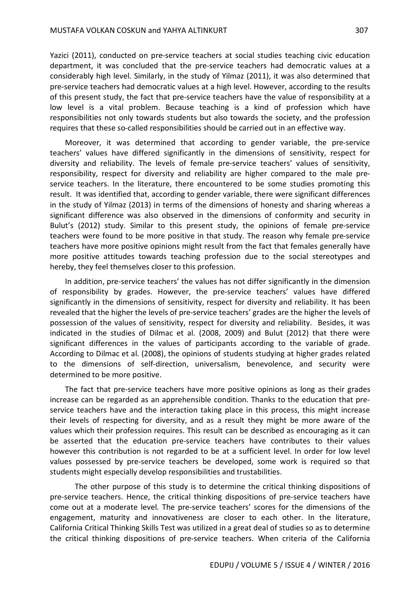Yazici (2011), conducted on pre-service teachers at social studies teaching civic education department, it was concluded that the pre-service teachers had democratic values at a considerably high level. Similarly, in the study of Yilmaz (2011), it was also determined that pre-service teachers had democratic values at a high level. However, according to the results of this present study, the fact that pre-service teachers have the value of responsibility at a low level is a vital problem. Because teaching is a kind of profession which have responsibilities not only towards students but also towards the society, and the profession requires that these so-called responsibilities should be carried out in an effective way.

Moreover, it was determined that according to gender variable, the pre-service teachers' values have differed significantly in the dimensions of sensitivity, respect for diversity and reliability. The levels of female pre-service teachers' values of sensitivity, responsibility, respect for diversity and reliability are higher compared to the male preservice teachers. In the literature, there encountered to be some studies promoting this result. It was identified that, according to gender variable, there were significant differences in the study of Yilmaz (2013) in terms of the dimensions of honesty and sharing whereas a significant difference was also observed in the dimensions of conformity and security in Bulut's (2012) study. Similar to this present study, the opinions of female pre-service teachers were found to be more positive in that study. The reason why female pre-service teachers have more positive opinions might result from the fact that females generally have more positive attitudes towards teaching profession due to the social stereotypes and hereby, they feel themselves closer to this profession.

In addition, pre-service teachers' the values has not differ significantly in the dimension of responsibility by grades. However, the pre-service teachers' values have differed significantly in the dimensions of sensitivity, respect for diversity and reliability. It has been revealed that the higher the levels of pre-service teachers' grades are the higher the levels of possession of the values of sensitivity, respect for diversity and reliability. Besides, it was indicated in the studies of Dilmac et al. (2008, 2009) and Bulut (2012) that there were significant differences in the values of participants according to the variable of grade. According to Dilmac et al. (2008), the opinions of students studying at higher grades related to the dimensions of self-direction, universalism, benevolence, and security were determined to be more positive.

The fact that pre-service teachers have more positive opinions as long as their grades increase can be regarded as an apprehensible condition. Thanks to the education that preservice teachers have and the interaction taking place in this process, this might increase their levels of respecting for diversity, and as a result they might be more aware of the values which their profession requires. This result can be described as encouraging as it can be asserted that the education pre-service teachers have contributes to their values however this contribution is not regarded to be at a sufficient level. In order for low level values possessed by pre-service teachers be developed, some work is required so that students might especially develop responsibilities and trustabilities.

The other purpose of this study is to determine the critical thinking dispositions of pre-service teachers. Hence, the critical thinking dispositions of pre-service teachers have come out at a moderate level. The pre-service teachers' scores for the dimensions of the engagement, maturity and innovativeness are closer to each other. In the literature, California Critical Thinking Skills Test was utilized in a great deal of studies so as to determine the critical thinking dispositions of pre-service teachers. When criteria of the California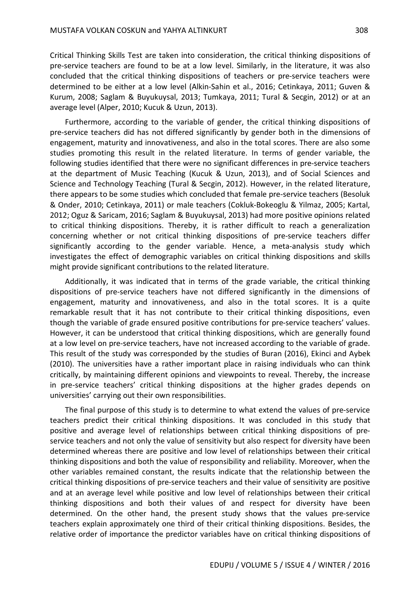Critical Thinking Skills Test are taken into consideration, the critical thinking dispositions of pre-service teachers are found to be at a low level. Similarly, in the literature, it was also concluded that the critical thinking dispositions of teachers or pre-service teachers were determined to be either at a low level (Alkin-Sahin et al., 2016; Cetinkaya, 2011; Guven & Kurum, 2008; Saglam & Buyukuysal, 2013; Tumkaya, 2011; Tural & Secgin, 2012) or at an average level (Alper, 2010; Kucuk & Uzun, 2013).

Furthermore, according to the variable of gender, the critical thinking dispositions of pre-service teachers did has not differed significantly by gender both in the dimensions of engagement, maturity and innovativeness, and also in the total scores. There are also some studies promoting this result in the related literature. In terms of gender variable, the following studies identified that there were no significant differences in pre-service teachers at the department of Music Teaching (Kucuk & Uzun, 2013), and of Social Sciences and Science and Technology Teaching (Tural & Secgin, 2012). However, in the related literature, there appears to be some studies which concluded that female pre-service teachers (Besoluk & Onder, 2010; Cetinkaya, 2011) or male teachers (Cokluk-Bokeoglu & Yilmaz, 2005; Kartal, 2012; Oguz & Saricam, 2016; Saglam & Buyukuysal, 2013) had more positive opinions related to critical thinking dispositions. Thereby, it is rather difficult to reach a generalization concerning whether or not critical thinking dispositions of pre-service teachers differ significantly according to the gender variable. Hence, a meta-analysis study which investigates the effect of demographic variables on critical thinking dispositions and skills might provide significant contributions to the related literature.

Additionally, it was indicated that in terms of the grade variable, the critical thinking dispositions of pre-service teachers have not differed significantly in the dimensions of engagement, maturity and innovativeness, and also in the total scores. It is a quite remarkable result that it has not contribute to their critical thinking dispositions, even though the variable of grade ensured positive contributions for pre-service teachers' values. However, it can be understood that critical thinking dispositions, which are generally found at a low level on pre-service teachers, have not increased according to the variable of grade. This result of the study was corresponded by the studies of Buran (2016), Ekinci and Aybek (2010). The universities have a rather important place in raising individuals who can think critically, by maintaining different opinions and viewpoints to reveal. Thereby, the increase in pre-service teachers' critical thinking dispositions at the higher grades depends on universities' carrying out their own responsibilities.

The final purpose of this study is to determine to what extend the values of pre-service teachers predict their critical thinking dispositions. It was concluded in this study that positive and average level of relationships between critical thinking dispositions of preservice teachers and not only the value of sensitivity but also respect for diversity have been determined whereas there are positive and low level of relationships between their critical thinking dispositions and both the value of responsibility and reliability. Moreover, when the other variables remained constant, the results indicate that the relationship between the critical thinking dispositions of pre-service teachers and their value of sensitivity are positive and at an average level while positive and low level of relationships between their critical thinking dispositions and both their values of and respect for diversity have been determined. On the other hand, the present study shows that the values pre-service teachers explain approximately one third of their critical thinking dispositions. Besides, the relative order of importance the predictor variables have on critical thinking dispositions of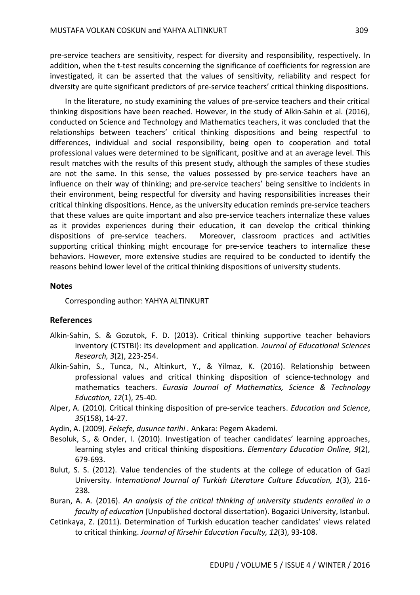pre-service teachers are sensitivity, respect for diversity and responsibility, respectively. In addition, when the t-test results concerning the significance of coefficients for regression are investigated, it can be asserted that the values of sensitivity, reliability and respect for diversity are quite significant predictors of pre-service teachers' critical thinking dispositions.

In the literature, no study examining the values of pre-service teachers and their critical thinking dispositions have been reached. However, in the study of Alkin-Sahin et al. (2016), conducted on Science and Technology and Mathematics teachers, it was concluded that the relationships between teachers' critical thinking dispositions and being respectful to differences, individual and social responsibility, being open to cooperation and total professional values were determined to be significant, positive and at an average level. This result matches with the results of this present study, although the samples of these studies are not the same. In this sense, the values possessed by pre-service teachers have an influence on their way of thinking; and pre-service teachers' being sensitive to incidents in their environment, being respectful for diversity and having responsibilities increases their critical thinking dispositions. Hence, as the university education reminds pre-service teachers that these values are quite important and also pre-service teachers internalize these values as it provides experiences during their education, it can develop the critical thinking dispositions of pre-service teachers. Moreover, classroom practices and activities supporting critical thinking might encourage for pre-service teachers to internalize these behaviors. However, more extensive studies are required to be conducted to identify the reasons behind lower level of the critical thinking dispositions of university students.

### **Notes**

Corresponding author: YAHYA ALTINKURT

### **References**

- Alkin-Sahin, S. & Gozutok, F. D. (2013). Critical thinking supportive teacher behaviors inventory (CTSTBI): Its development and application. *Journal of Educational Sciences Research, 3*(2), 223-254.
- Alkin-Sahin, S., Tunca, N., Altinkurt, Y., & Yilmaz, K. (2016). Relationship between professional values and critical thinking disposition of science-technology and mathematics teachers. *Eurasia Journal of Mathematics, Science & Technology Education, 12*(1), 25-40.
- Alper, A. (2010). Critical thinking disposition of pre-service teachers. *Education and Science*, *35*(158), 14-27.
- Aydin, A. (2009). *Felsefe, dusunce tarihi .* Ankara: Pegem Akademi.
- Besoluk, S., & Onder, I. (2010). Investigation of teacher candidates' learning approaches, learning styles and critical thinking dispositions. *Elementary Education Online, 9*(2), 679-693.
- Bulut, S. S. (2012). Value tendencies of the students at the college of education of Gazi University. *International Journal of Turkish Literature Culture Education, 1*(3), 216- 238.
- Buran, A. A. (2016). *An analysis of the critical thinking of university students enrolled in a faculty of education* (Unpublished doctoral dissertation). Bogazici University, Istanbul.
- Cetinkaya, Z. (2011). Determination of Turkish education teacher candidates' views related to critical thinking. *Journal of Kirsehir Education Faculty, 12*(3), 93-108.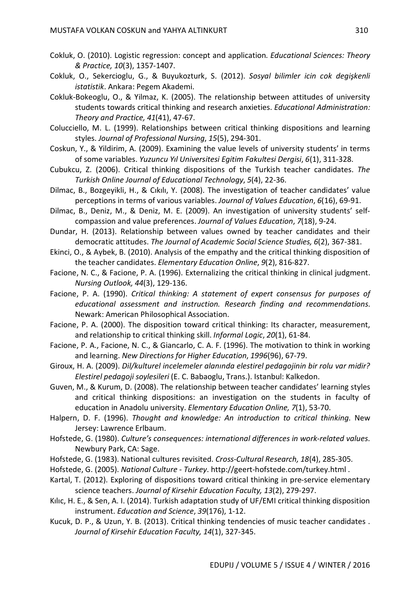- Cokluk, O. (2010). Logistic regression: concept and application. *Educational Sciences: Theory & Practice, 10*(3), 1357-1407.
- Cokluk, O., Sekercioglu, G., & Buyukozturk, S. (2012). *Sosyal bilimler icin cok degişkenli istatistik*. Ankara: Pegem Akademi.
- Cokluk-Bokeoglu, O., & Yilmaz, K. (2005). The relationship between attitudes of university students towards critical thinking and research anxieties. *Educational Administration: Theory and Practice, 41*(41), 47-67.
- Colucciello, M. L. (1999). Relationships between critical thinking dispositions and learning styles. *Journal of Professional Nursing*, *15*(5), 294-301.
- Coskun, Y., & Yildirim, A. (2009). Examining the value levels of university students' in terms of some variables. *Yuzuncu Yıl Universitesi Egitim Fakultesi Dergisi*, *6*(1), 311-328.
- Cubukcu, Z. (2006). Critical thinking dispositions of the Turkish teacher candidates. *The Turkish Online Journal of Educational Technology*, *5*(4), 22-36.
- Dilmac, B., Bozgeyikli, H., & Cıkılı, Y. (2008). The investigation of teacher candidates' value perceptions in terms of various variables. *Journal of Values Education*, *6*(16), 69-91.
- Dilmac, B., Deniz, M., & Deniz, M. E. (2009). An investigation of university students' selfcompassion and value preferences. *Journal of Values Education*, *7*(18), 9-24.
- Dundar, H. (2013). Relationship between values owned by teacher candidates and their democratic attitudes. *The Journal of Academic Social Science Studies, 6*(2), 367-381.
- Ekinci, O., & Aybek, B. (2010). Analysis of the empathy and the critical thinking disposition of the teacher candidates. *Elementary Education Online*, *9*(2), 816-827.
- Facione, N. C., & Facione, P. A. (1996). Externalizing the critical thinking in clinical judgment. *Nursing Outlook, 44*(3), 129-136.
- Facione, P. A. (1990). *Critical thinking: A statement of expert consensus for purposes of educational assessment and instruction. Research finding and recommendations*. Newark: American Philosophical Association.
- Facione, P. A. (2000). The disposition toward critical thinking: Its character, measurement, and relationship to critical thinking skill. *Informal Logic*, *20*(1), 61-84.
- Facione, P. A., Facione, N. C., & Giancarlo, C. A. F. (1996). The motivation to think in working and learning. *New Directions for Higher Education*, *1996*(96), 67-79.
- Giroux, H. A. (2009). *Dil/kulturel incelemeler alanında elestirel pedagojinin bir rolu var midir? Elestirel pedagoji soylesileri* (E. C. Babaoglu, Trans.). Istanbul: Kalkedon.
- Guven, M., & Kurum, D. (2008). The relationship between teacher candidates' learning styles and critical thinking dispositions: an investigation on the students in faculty of education in Anadolu university. *Elementary Education Online, 7*(1), 53-70.
- Halpern, D. F. (1996). *Thought and knowledge: An introduction to critical thinking*. New Jersey: Lawrence Erlbaum.
- Hofstede, G. (1980). *Culture's consequences: international differences in work-related values*. Newbury Park, CA: Sage.
- Hofstede, G. (1983). National cultures revisited. *Cross-Cultural Research, 18*(4), 285-305.
- Hofstede, G. (2005). *National Culture - Turkey*. http://geert-hofstede.com/turkey.html .
- Kartal, T. (2012). Exploring of dispositions toward critical thinking in pre-service elementary science teachers. *Journal of Kirsehir Education Faculty, 13*(2), 279-297.
- Kılıc, H. E., & Sen, A. I. (2014). Turkish adaptation study of UF/EMI critical thinking disposition instrument. *Education and Science*, *39*(176), 1-12.
- Kucuk, D. P., & Uzun, Y. B. (2013). Critical thinking tendencies of music teacher candidates . *Journal of Kirsehir Education Faculty, 14*(1), 327-345.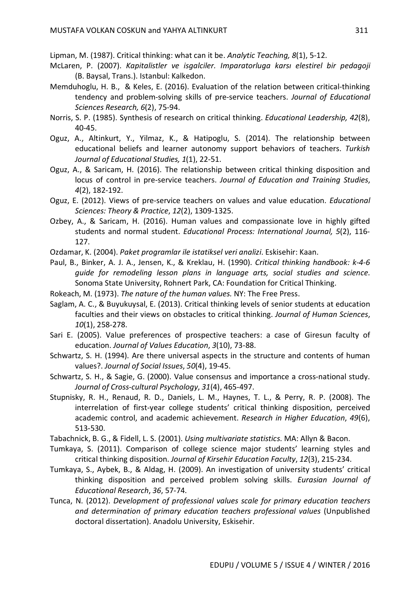Lipman, M. (1987). Critical thinking: what can it be. *Analytic Teaching, 8*(1), 5-12.

- McLaren, P. (2007). *Kapitalistler ve isgalciler. Imparatorluga karsı elestirel bir pedagoji* (B. Baysal, Trans.). Istanbul: Kalkedon.
- Memduhoglu, H. B., & Keles, E. (2016). Evaluation of the relation between critical-thinking tendency and problem-solving skills of pre-service teachers. *Journal of Educational Sciences Research, 6*(2), 75-94.
- Norris, S. P. (1985). Synthesis of research on critical thinking. *Educational Leadership, 42*(8), 40-45.
- Oguz, A., Altinkurt, Y., Yilmaz, K., & Hatipoglu, S. (2014). The relationship between educational beliefs and learner autonomy support behaviors of teachers. *Turkish Journal of Educational Studies, 1*(1), 22-51.
- Oguz, A., & Saricam, H. (2016). The relationship between critical thinking disposition and locus of control in pre-service teachers. *Journal of Education and Training Studies*, *4*(2), 182-192.
- Oguz, E. (2012). Views of pre-service teachers on values and value education. *Educational Sciences: Theory & Practice*, *12*(2), 1309-1325.
- Ozbey, A., & Saricam, H. (2016). Human values and compassionate love in highly gifted students and normal student. *Educational Process: International Journal, 5*(2), 116- 127.

Ozdamar, K. (2004). *Paket programlar ile istatiksel veri analizi*. Eskisehir: Kaan.

- Paul, B., Binker, A. J. A., Jensen, K., & Kreklau, H. (1990). *Critical thinking handbook: k-4-6 guide for remodeling lesson plans in language arts, social studies and science*. Sonoma State University, Rohnert Park, CA: Foundation for Critical Thinking.
- Rokeach, M. (1973). *The nature of the human values.* NY: The Free Press.
- Saglam, A. C., & Buyukuysal, E. (2013). Critical thinking levels of senior students at education faculties and their views on obstacles to critical thinking. *Journal of Human Sciences*, *10*(1), 258-278.
- Sari E. (2005). Value preferences of prospective teachers: a case of Giresun faculty of education. *Journal of Values Education*, *3*(10), 73-88.
- Schwartz, S. H. (1994). Are there universal aspects in the structure and contents of human values?. *Journal of Social Issues*, *50*(4), 19-45.
- Schwartz, S. H., & Sagie, G. (2000). Value consensus and importance a cross-national study. *Journal of Cross-cultural Psychology*, *31*(4), 465-497.
- Stupnisky, R. H., Renaud, R. D., Daniels, L. M., Haynes, T. L., & Perry, R. P. (2008). The interrelation of first-year college students' critical thinking disposition, perceived academic control, and academic achievement. *Research in Higher Education*, *49*(6), 513-530.
- Tabachnick, B. G., & Fidell, L. S. (2001). *Using multivariate statistics*. MA: Allyn & Bacon.
- Tumkaya, S. (2011). Comparison of college science major students' learning styles and critical thinking disposition. *Journal of Kirsehir Education Faculty*, *12*(3), 215-234.
- Tumkaya, S., Aybek, B., & Aldag, H. (2009). An investigation of university students' critical thinking disposition and perceived problem solving skills. *Eurasian Journal of Educational Research*, *36*, 57-74.
- Tunca, N. (2012). *Development of professional values scale for primary education teachers and determination of primary education teachers professional values* (Unpublished doctoral dissertation). Anadolu University, Eskisehir.